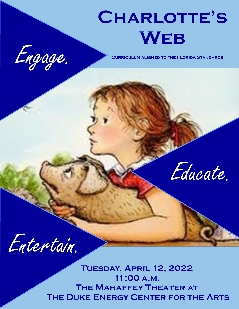# **Charlotte's Web**



**Curriculum aligned to the Florida Standards**



Entertain.

**Tuesday, April 12, 2022 11:00 a.m. The Mahaffey Theater at The Duke Energy Center for the Arts**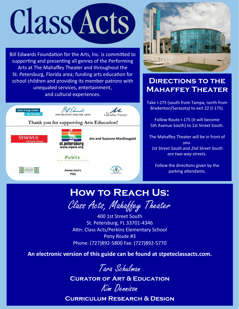# Class Acts

Bill Edwards Foundation for the Arts, Inc. is committed to supporting and presenting all genres of the Performing Arts at The Mahaffey Theater and throughout the St. Petersburg, Florida area; funding arts education for school children and providing its member patrons with unequaled services, entertainment, and cultural experiences.





# **DIRECTIONS TO THE Mahaffey Theater**

Take I-275 (south from Tampa, north from Bradenton/Sarasota) to exit 22 (I-175).

Follow Route I-175 (it will become 5th Avenue South) to 1st Street South.

The Mahaffey Theater will be in front of you. *1st Street South and 2nd Street South are two-way streets.*

Follow the directions given by the parking attendants.

# **How to Reach Us:**

Class Acts, Mahaffey Theater

400 1st Street South St. Petersburg, FL 33701-4346 Attn: Class Acts/Perkins Elementary School Pony Route #3 Phone: (727)892-5800 Fax: (727)892-5770

**An electronic version of this guide can be found at [stpeteclassacts.com.](http://stpeteclassacts.com/)**



**Curator of Art & Education**

Kim Dennison

**Curriculum Research & Design**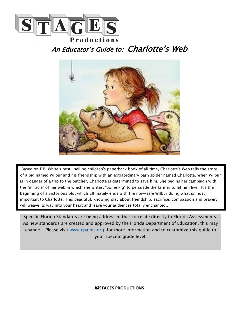

An Educator's Guide to: Charlotte's Web



 Based on E.B. White's best- selling children's paperback book of all time, Charlotte's Web tells the story of a pig named Wilbur and his friendship with an extraordinary barn spider named Charlotte. When Wilbur is in danger of a trip to the butcher, Charlotte is determined to save him. She begins her campaign with the "miracle" of her web in which she writes, "Some Pig" to persuade the farmer to let him live. It's the beginning of a victorious plot which ultimately ends with the now-safe Wilbur doing what is most important to Charlotte. This beautiful, knowing play about friendship, sacrifice, compassion and bravery will weave its way into your heart and leave your audiences totally enchanted..

Specific Florida Standards are being addressed that correlate directly to Florida Assessments. As new standards are created and approved by the Florida Department of Education, this may change. Please visit [www.cpalms.org](http://www.cpalms.org) for more information and to customize this guide to your specific grade level.

**©STAGES PRODUCTIONS**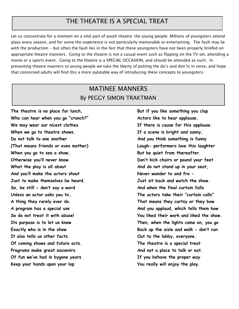# THE THEATRE IS A SPECIAL TREAT

Let us concentrate for a moment on a vital part of youth theatre: the young people. Millions of youngsters attend plays every season, and for some the experience is not particularly memorable or entertaining. The fault may lie with the production - but often the fault lies in the fact that these youngsters have not been properly briefed on appropriate theatre manners. Going to the theatre is not a casual event such as flipping on the TV set, attending a movie or a sports event. Going to the theatre is a SPECIAL OCCASION, and should be attended as such. In presenting theatre manners to young people we take the liberty of putting the do's and don'ts in verse, and hope that concerned adults will find this a more palatable way of introducing these concepts to youngsters.

# MATINEE MANNERS By PEGGY SIMON TRAKTMAN

The theatre is no place for lunch, **But if you like something you clap Who can hear when you go "crunch?" Actors like to hear applause. We may wear our nicest clothes If there is cause for this applause. When we go to theatre shows. If a scene is bright and sunny,** Do not talk to one another **And you think something is funny** When you go to see a show, **But be quiet from thereafter**. **Otherwise you'll never know Don't kick chairs or pound your feet What the play is all about And do not stand up in your seat, And you'll make the actors shout Never wander to and fro - Just to make themselves be heard. Just sit back and watch the show. So, be still - don't say a word And when the final curtain falls Unless an actor asks you to… The actors take their "curtain calls" It also tells us other facts Out to the lobby, everyone. Of coming shows and future acts. The theatre is a special treat Programs make great souvenirs And not a place to talk or eat. Of fun we've had in bygone years If you behave the proper way Keep your hands upon your lap You really will enjoy the play.**

**(That means friends or even mother) Laugh- performers love this laughter A thing they rarely ever do. That means they curtsy or they bow A program has a special use And you applaud, which tells them how So do not treat it with abuse! You liked their work and liked the show. Its purpose is to let us know Then, when the lights come on, you go Exactly who is in the show Back up the aisle and walk - don't run**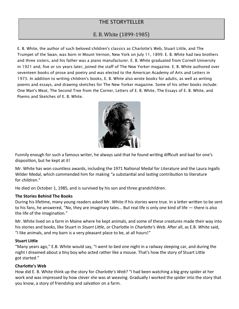# THE STORYTELLER

# E. B. White (1899-1985)

E. B. White, the author of such beloved children's classics as Charlotte's Web, Stuart Little, and The Trumpet of the Swan, was born in Mount Vernon, New York on July 11, 1899. E. B. White had two brothers and three sisters, and his father was a piano manufacturer. E. B. White graduated from Cornell University in 1921 and, five or six years later, joined the staff of The New Yorker magazine. E. B. White authored over seventeen books of prose and poetry and was elected to the American Academy of Arts and Letters in 1973. In addition to writing children's books, E. B. White also wrote books for adults, as well as writing poems and essays, and drawing sketches for The New Yorker magazine. Some of his other books include: One Man's Meat, The Second Tree from the Corner, Letters of E. B. White, The Essays of E. B. White, and Poems and Sketches of E. B. White.



Funnily enough for such a famous writer, he always said that he found writing difficult and bad for one's disposition, but he kept at it!

Mr. White has won countless awards, including the 1971 National Medal for Literature and the Laura Ingalls Wilder Medal, which commended him for making "a substantial and lasting contribution to literature for children."

He died on October 1, 1985, and is survived by his son and three grandchildren.

#### **The Stories Behind The Books**

During his lifetime, many young readers asked Mr. White if his stories were true. In a letter written to be sent to his fans, he answered, "No, they are imaginary tales… But real life is only one kind of life — there is also the life of the imagination."

Mr. White lived on a farm in Maine where he kept animals, and some of these creatures made their way into his stories and books, like Stuart in *Stuart Little*, or Charlotte in *Charlotte's Web*. After all, as E.B. White said, "I like animals, and my barn is a very pleasant place to be, at all hours!"

#### **Stuart Little**

"Many years ago," E.B. White would say, "I went to bed one night in a railway sleeping car, and during the night I dreamed about a tiny boy who acted rather like a mouse. That's how the story of Stuart Little got started."

#### **Charlotte's Web**

How did E. B. White think up the story for *Charlotte's Web*? "I had been watching a big grey spider at her work and was impressed by how clever she was at weaving. Gradually I worked the spider into the story that you know, a story of friendship and salvation on a farm.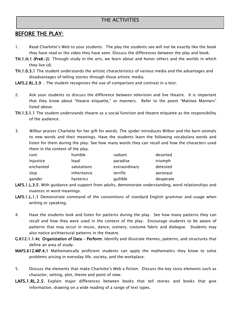# THE ACTIVITIES

# BEFORE THE PLAY:

- 1. Read Charlotte's Web to your students. The play the students see will not be exactly like the book they have read or the video they have seen. Discuss the differences between the play and book.
- TH.1.H.1 (PreK-2) Through study in the arts, we learn about and honor others and the worlds in which they live (d).
- TH.1.0.3.1 The student understands the artistic characteristics of various media and the advantages and disadvantages of telling stories through those artistic media.

LAFS.2.RL.3.9 . The student recognizes the use of comparison and contrast in a text.

- 2. Ask your students to discuss the difference between television and live theatre. It is important that they know about "theatre etiquette," or manners. Refer to the poem "Matinee Manners" listed above.
- TH.1.S.1.1 The student understands theatre as a social function and theatre etiquette as the responsibility of the audience.
- 3. Wilbur praises Charlotte for her gift for words. The spider introduces Wilbur and the barn animals to new words and their meanings. Have the students learn the following vocabulary words and listen for them during the play. See how many words they can recall and how the characters used them in the context of the play.

| runt      | humble      | radiant       | deserted  |
|-----------|-------------|---------------|-----------|
| injustice | loval       | paradise      | triumph   |
| enchanted | salutations | extraordinary | detested  |
| slop      | inheritance | terrific      | aeronaut  |
| gander    | hysterics   | qullible      | desperate |

- LAFS.1.L.3.5. With guidance and support from adults, demonstrate understanding, word relationships and nuances in word meanings.
- LAFS.1.L.1.1 Demonstrate command of the conventions of standard English grammar and usage when writing or speaking.
- 4. Have the students look and listen for patterns during the play. See how many patterns they can recall and how they were used in the context of the play. Encourage students to be aware of patterns that may occur in music, dance, scenery, costume fabric and dialogue. Students may also notice architectural patterns in the theatre.
- G.K12.1.1.4c Organization of Data Perform: Identify and illustrate themes, patterns, and structures that define an area of study.
- MAFS.K12.MP.4.1 Mathematically proficient students can apply the mathematics they know to solve problems arising in everyday life, society, and the workplace.
- 5. Discuss the elements that make Charlotte's Web a fiction. Discuss the key story elements such as character, setting, plot, theme and point of view.
- LAFS.1.RL.2.5. Explain major differences between books that tell stories and books that give information, drawing on a wide reading of a range of text types.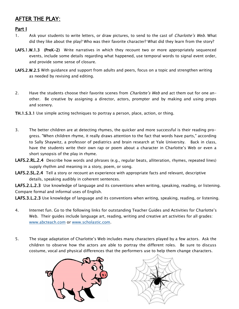# AFTER THE PLAY:

Part I

- 1. Ask your students to write letters, or draw pictures, to send to the cast of *Charlotte's Web*. What did they like about the play? Who was their favorite character? What did they learn from the story?
- LAFS.1.W.1.3 (PreK-2) Write narratives in which they recount two or more appropriately sequenced events, include some details regarding what happened, use temporal words to signal event order, and provide some sense of closure.
- LAFS.2.W.2.5 With guidance and support from adults and peers, focus on a topic and strengthen writing as needed by revising and editing.
- 2. Have the students choose their favorite scenes from *Charlotte's Web* and act them out for one another. Be creative by assigning a director, actors, prompter and by making and using props and scenery.
- TH.1.S.3.1 Use simple acting techniques to portray a person, place, action, or thing.
- 3. The better children are at detecting rhymes, the quicker and more successful is their reading progress. "When children rhyme, it really draws attention to the fact that words have parts," according to Sally Shaywitz, a professor of pediatrics and brain research at Yale University. Back in class, have the students write their own rap or poem about a character in Charlotte's Web or even a short synopsis of the play in rhyme.
- LAFS.2.RL.2.4 Describe how words and phrases (e.g., regular beats, alliteration, rhymes, repeated lines) supply rhythm and meaning in a story, poem, or song.
- LAFS.2.SL.2.4 Tell a story or recount an experience with appropriate facts and relevant, descriptive details, speaking audibly in coherent sentences.

LAFS.2.L.2.3 Use knowledge of language and its conventions when writing, speaking, reading, or listening. Compare formal and informal uses of English.

LAFS.3.L.2.3 Use knowledge of language and its conventions when writing, speaking, reading, or listening.

- 4. Internet fun. Go to the following links for outstanding Teacher Guides and Activities for Charlotte's Web. Their guides include language art, reading, writing and creative art activities for all grades: [www.abcteach.com](http://www.abcteach.com) or [www.scholastic.com.](http://www.scholastic.com)
- 5. The stage adaptation of Charlotte's Web includes many characters played by a few actors. Ask the children to observe how the actors are able to portray the different roles. Be sure to discuss costume, vocal and physical differences that the performers use to help them change characters.



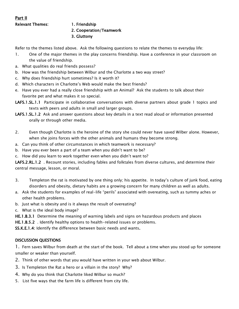### Part II Relevant Themes: 1. Friendship

#### 2. Cooperation/Teamwork

3. Gluttony

Refer to the themes listed above. Ask the following questions to relate the themes to everyday life:

- 1. One of the major themes in the play concerns friendship. Have a conference in your classroom on the value of friendship.
- a. What qualities do real friends possess?
- b. How was the friendship between Wilbur and the Charlotte a two way street?
- c. Why does friendship hurt sometimes? Is it worth it?
- d. Which characters in Charlotte's Web would make the best friends?
- e. Have you ever had a really close friendship with an Animal? Ask the students to talk about their favorite pet and what makes it so special.
- LAFS.1.SL.1.1 Participate in collaborative conversations with diverse partners about grade 1 topics and texts with peers and adults in small and larger groups.
- LAFS.1.SL.1.2 Ask and answer questions about key details in a text read aloud or information presented orally or through other media.
- 2. Even though Charlotte is the heroine of the story she could never have saved Wilber alone. However, when she joins forces with the other animals and humans they become strong.
- a. Can you think of other circumstances in which teamwork is necessary?
- b. Have you ever been a part of a team when you didn't want to be?
- c. How did you learn to work together even when you didn't want to?

LAFS.2.RL.1.2 . Recount stories, including fables and folktales from diverse cultures, and determine their central message, lesson, or moral.

- 3. Templeton the rat is motivated by one thing only; his appetite. In today's culture of junk food, eating disorders and obesity, dietary habits are a growing concern for many children as well as adults.
- a. Ask the students for examples of real-life "perils" associated with overeating, such as tummy aches or other health problems.
- b. Just what is obesity and is it always the result of overeating?
- c. What is the ideal body image?

HE.1.B.3.1 Determine the meaning of warning labels and signs on hazardous products and places

HE.1.B.5.2 . Identify healthy options to health-related issues or problems.

SS.K.E.1.4: Identify the difference between basic needs and wants.

### DISCUSSION QUESTIONS

1. Fern saves Wilbur from death at the start of the book. Tell about a time when you stood up for someone smaller or weaker than yourself.

- 2. Think of other words that you would have written in your web about Wilbur.
- 3. Is Templeton the Rat a hero or a villain in the story? Why?
- 4. Why do you think that Charlotte liked Wilbur so much?
- 5. List five ways that the farm life is different from city life.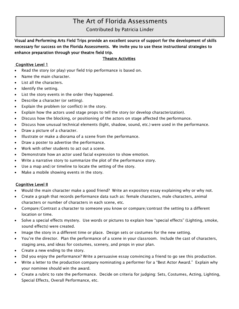# The Art of Florida Assessments

# Contributed by Patricia Linder

Visual and Performing Arts Field Trips provide an excellent source of support for the development of skills necessary for success on the Florida Assessments. We invite you to use these instructional strategies to enhance preparation through your theatre field trip.

#### Theatre Activities

#### Cognitive Level 1

- Read the story (or play) your field trip performance is based on.
- Name the main character.
- List all the characters.
- Identify the setting.
- List the story events in the order they happened.
- Describe a character (or setting).
- Explain the problem (or conflict) in the story.
- Explain how the actors used stage props to tell the story (or develop characterization).
- Discuss how the blocking, or positioning of the actors on stage affected the performance.
- Discuss how unusual technical elements (light, shadow, sound, etc.) were used in the performance.
- Draw a picture of a character.
- Illustrate or make a diorama of a scene from the performance.
- Draw a poster to advertise the performance.
- Work with other students to act out a scene.
- Demonstrate how an actor used facial expression to show emotion.
- Write a narrative story to summarize the plot of the performance story.
- Use a map and/or timeline to locate the setting of the story.
- Make a mobile showing events in the story.

#### Cognitive Level II

- Would the main character make a good friend? Write an expository essay explaining why or why not.
- Create a graph that records performance data such as: female characters, male characters, animal characters or number of characters in each scene, etc.
- Compare/Contrast a character to someone you know or compare/contrast the setting to a different location or time.
- Solve a special effects mystery. Use words or pictures to explain how "special effects" (Lighting, smoke, sound effects) were created.
- Image the story in a different time or place. Design sets or costumes for the new setting.
- You're the director. Plan the performance of a scene in your classroom. Include the cast of characters, staging area, and ideas for costumes, scenery, and props in your plan.
- Create a new ending to the story.
- Did you enjoy the performance? Write a persuasive essay convincing a friend to go see this production.
- Write a letter to the production company nominating a performer for a "Best Actor Award." Explain why your nominee should win the award.
- Create a rubric to rate the performance. Decide on criteria for judging: Sets, Costumes, Acting, Lighting, Special Effects, Overall Performance, etc.